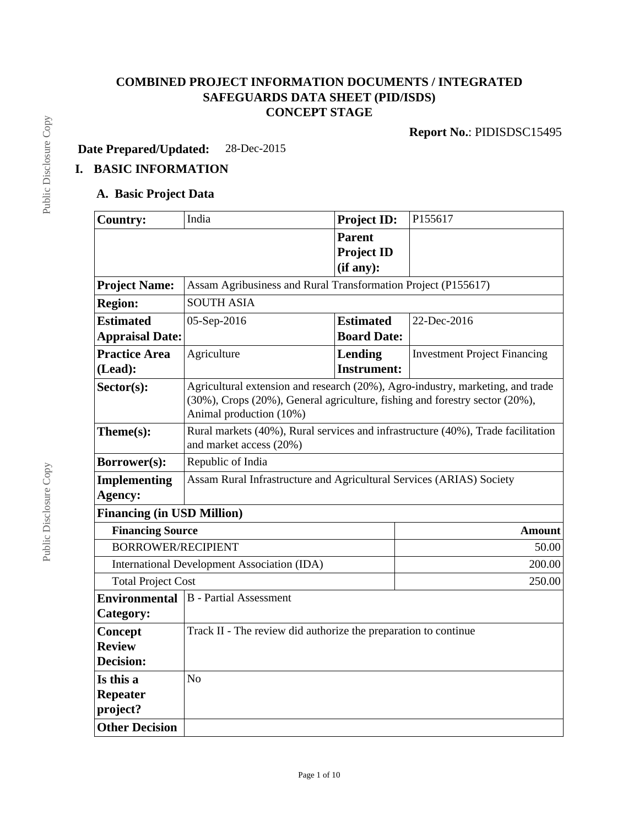# **COMBINED PROJECT INFORMATION DOCUMENTS / INTEGRATED SAFEGUARDS DATA SHEET (PID/ISDS) CONCEPT STAGE**

**Report No.**: PIDISDSC15495

**Date Prepared/Updated:** 28-Dec-2015

# **I. BASIC INFORMATION**

# **A. Basic Project Data**

| <b>Country:</b>                                       | India                                                                                                                                                                                    | <b>Project ID:</b> | P155617                             |  |  |  |
|-------------------------------------------------------|------------------------------------------------------------------------------------------------------------------------------------------------------------------------------------------|--------------------|-------------------------------------|--|--|--|
|                                                       |                                                                                                                                                                                          | <b>Parent</b>      |                                     |  |  |  |
|                                                       |                                                                                                                                                                                          | <b>Project ID</b>  |                                     |  |  |  |
|                                                       |                                                                                                                                                                                          | (if any):          |                                     |  |  |  |
| <b>Project Name:</b>                                  | Assam Agribusiness and Rural Transformation Project (P155617)                                                                                                                            |                    |                                     |  |  |  |
| <b>Region:</b>                                        | <b>SOUTH ASIA</b>                                                                                                                                                                        |                    |                                     |  |  |  |
| <b>Estimated</b>                                      | 05-Sep-2016                                                                                                                                                                              | <b>Estimated</b>   | 22-Dec-2016                         |  |  |  |
| <b>Appraisal Date:</b>                                |                                                                                                                                                                                          | <b>Board Date:</b> |                                     |  |  |  |
| <b>Practice Area</b>                                  | Agriculture                                                                                                                                                                              | <b>Lending</b>     | <b>Investment Project Financing</b> |  |  |  |
| (Lead):                                               |                                                                                                                                                                                          | <b>Instrument:</b> |                                     |  |  |  |
| $Sector(s)$ :                                         | Agricultural extension and research (20%), Agro-industry, marketing, and trade<br>(30%), Crops (20%), General agriculture, fishing and forestry sector (20%),<br>Animal production (10%) |                    |                                     |  |  |  |
| Theme(s):                                             | Rural markets (40%), Rural services and infrastructure (40%), Trade facilitation<br>and market access (20%)                                                                              |                    |                                     |  |  |  |
| Borrower(s):                                          | Republic of India                                                                                                                                                                        |                    |                                     |  |  |  |
| <b>Implementing</b>                                   | Assam Rural Infrastructure and Agricultural Services (ARIAS) Society                                                                                                                     |                    |                                     |  |  |  |
| Agency:                                               |                                                                                                                                                                                          |                    |                                     |  |  |  |
| <b>Financing (in USD Million)</b>                     |                                                                                                                                                                                          |                    |                                     |  |  |  |
| <b>Financing Source</b>                               |                                                                                                                                                                                          |                    | Amount                              |  |  |  |
| <b>BORROWER/RECIPIENT</b>                             |                                                                                                                                                                                          |                    | 50.00                               |  |  |  |
|                                                       | International Development Association (IDA)                                                                                                                                              |                    | 200.00                              |  |  |  |
| <b>Total Project Cost</b>                             |                                                                                                                                                                                          |                    | 250.00                              |  |  |  |
| <b>Environmental</b><br><b>B</b> - Partial Assessment |                                                                                                                                                                                          |                    |                                     |  |  |  |
| Category:                                             |                                                                                                                                                                                          |                    |                                     |  |  |  |
| Concept                                               | Track II - The review did authorize the preparation to continue                                                                                                                          |                    |                                     |  |  |  |
| <b>Review</b>                                         |                                                                                                                                                                                          |                    |                                     |  |  |  |
| <b>Decision:</b>                                      |                                                                                                                                                                                          |                    |                                     |  |  |  |
| Is this a                                             | No                                                                                                                                                                                       |                    |                                     |  |  |  |
| <b>Repeater</b>                                       |                                                                                                                                                                                          |                    |                                     |  |  |  |
| project?                                              |                                                                                                                                                                                          |                    |                                     |  |  |  |
| <b>Other Decision</b>                                 |                                                                                                                                                                                          |                    |                                     |  |  |  |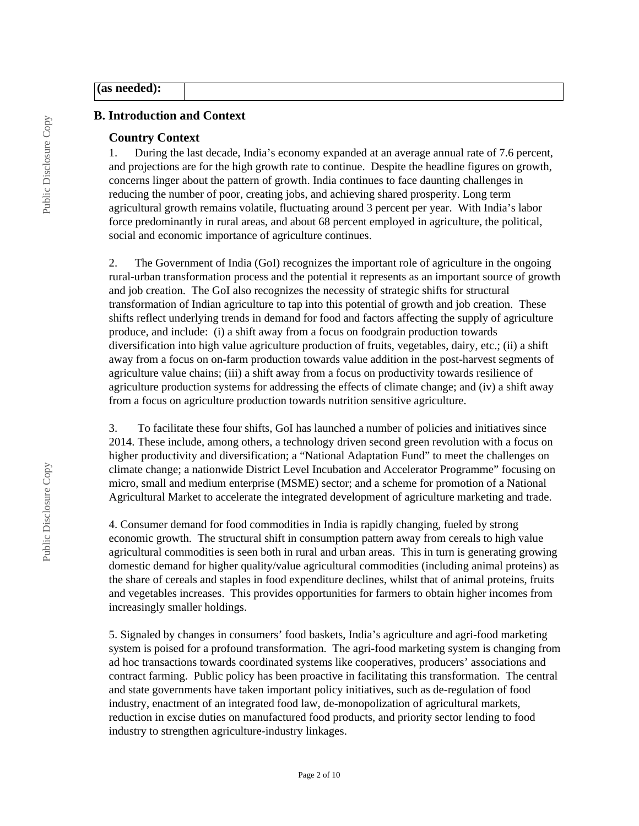### **(as needed):**

#### **B. Introduction and Context**

#### **Country Context**

1. During the last decade, India's economy expanded at an average annual rate of 7.6 percent, and projections are for the high growth rate to continue. Despite the headline figures on growth, concerns linger about the pattern of growth. India continues to face daunting challenges in reducing the number of poor, creating jobs, and achieving shared prosperity. Long term agricultural growth remains volatile, fluctuating around 3 percent per year. With India's labor force predominantly in rural areas, and about 68 percent employed in agriculture, the political, social and economic importance of agriculture continues.

2. The Government of India (GoI) recognizes the important role of agriculture in the ongoing rural-urban transformation process and the potential it represents as an important source of growth and job creation. The GoI also recognizes the necessity of strategic shifts for structural transformation of Indian agriculture to tap into this potential of growth and job creation. These shifts reflect underlying trends in demand for food and factors affecting the supply of agriculture produce, and include: (i) a shift away from a focus on foodgrain production towards diversification into high value agriculture production of fruits, vegetables, dairy, etc.; (ii) a shift away from a focus on on-farm production towards value addition in the post-harvest segments of agriculture value chains; (iii) a shift away from a focus on productivity towards resilience of agriculture production systems for addressing the effects of climate change; and (iv) a shift away from a focus on agriculture production towards nutrition sensitive agriculture.

3. To facilitate these four shifts, GoI has launched a number of policies and initiatives since 2014. These include, among others, a technology driven second green revolution with a focus on higher productivity and diversification; a "National Adaptation Fund" to meet the challenges on climate change; a nationwide District Level Incubation and Accelerator Programme" focusing on micro, small and medium enterprise (MSME) sector; and a scheme for promotion of a National Agricultural Market to accelerate the integrated development of agriculture marketing and trade.

4. Consumer demand for food commodities in India is rapidly changing, fueled by strong economic growth. The structural shift in consumption pattern away from cereals to high value agricultural commodities is seen both in rural and urban areas. This in turn is generating growing domestic demand for higher quality/value agricultural commodities (including animal proteins) as the share of cereals and staples in food expenditure declines, whilst that of animal proteins, fruits and vegetables increases. This provides opportunities for farmers to obtain higher incomes from increasingly smaller holdings.

5. Signaled by changes in consumers' food baskets, India's agriculture and agri-food marketing system is poised for a profound transformation. The agri-food marketing system is changing from ad hoc transactions towards coordinated systems like cooperatives, producers' associations and contract farming. Public policy has been proactive in facilitating this transformation. The central and state governments have taken important policy initiatives, such as de-regulation of food industry, enactment of an integrated food law, de-monopolization of agricultural markets, reduction in excise duties on manufactured food products, and priority sector lending to food industry to strengthen agriculture-industry linkages.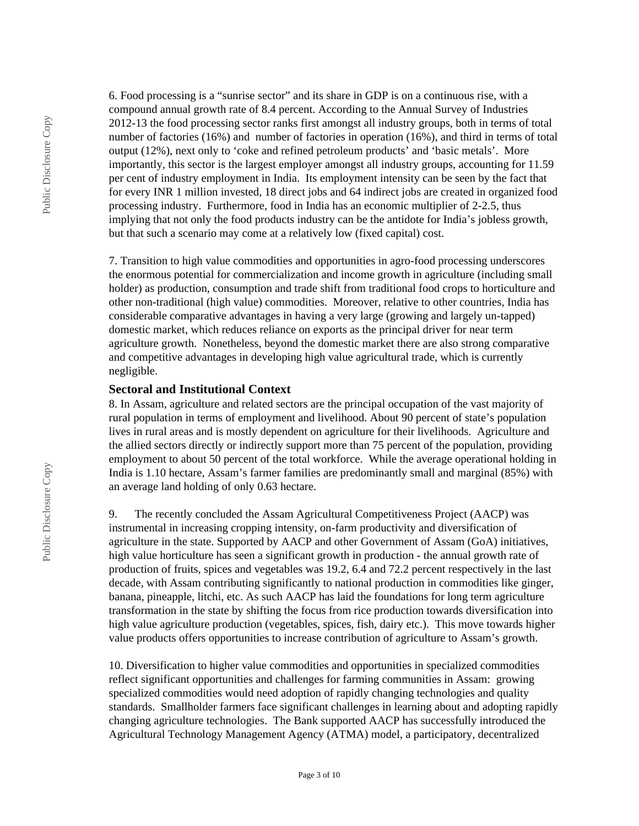6. Food processing is a "sunrise sector" and its share in GDP is on a continuous rise, with a compound annual growth rate of 8.4 percent. According to the Annual Survey of Industries 2012-13 the food processing sector ranks first amongst all industry groups, both in terms of total number of factories (16%) and number of factories in operation (16%), and third in terms of total output (12%), next only to 'coke and refined petroleum products' and 'basic metals'. More importantly, this sector is the largest employer amongst all industry groups, accounting for 11.59 per cent of industry employment in India. Its employment intensity can be seen by the fact that for every INR 1 million invested, 18 direct jobs and 64 indirect jobs are created in organized food processing industry. Furthermore, food in India has an economic multiplier of 2-2.5, thus implying that not only the food products industry can be the antidote for India's jobless growth, but that such a scenario may come at a relatively low (fixed capital) cost.

7. Transition to high value commodities and opportunities in agro-food processing underscores the enormous potential for commercialization and income growth in agriculture (including small holder) as production, consumption and trade shift from traditional food crops to horticulture and other non-traditional (high value) commodities. Moreover, relative to other countries, India has considerable comparative advantages in having a very large (growing and largely un-tapped) domestic market, which reduces reliance on exports as the principal driver for near term agriculture growth. Nonetheless, beyond the domestic market there are also strong comparative and competitive advantages in developing high value agricultural trade, which is currently negligible.

#### **Sectoral and Institutional Context**

8. In Assam, agriculture and related sectors are the principal occupation of the vast majority of rural population in terms of employment and livelihood. About 90 percent of state's population lives in rural areas and is mostly dependent on agriculture for their livelihoods. Agriculture and the allied sectors directly or indirectly support more than 75 percent of the population, providing employment to about 50 percent of the total workforce. While the average operational holding in India is 1.10 hectare, Assam's farmer families are predominantly small and marginal (85%) with an average land holding of only 0.63 hectare.

9. The recently concluded the Assam Agricultural Competitiveness Project (AACP) was instrumental in increasing cropping intensity, on-farm productivity and diversification of agriculture in the state. Supported by AACP and other Government of Assam (GoA) initiatives, high value horticulture has seen a significant growth in production - the annual growth rate of production of fruits, spices and vegetables was 19.2, 6.4 and 72.2 percent respectively in the last decade, with Assam contributing significantly to national production in commodities like ginger, banana, pineapple, litchi, etc. As such AACP has laid the foundations for long term agriculture transformation in the state by shifting the focus from rice production towards diversification into high value agriculture production (vegetables, spices, fish, dairy etc.). This move towards higher value products offers opportunities to increase contribution of agriculture to Assam's growth.

10. Diversification to higher value commodities and opportunities in specialized commodities reflect significant opportunities and challenges for farming communities in Assam: growing specialized commodities would need adoption of rapidly changing technologies and quality standards. Smallholder farmers face significant challenges in learning about and adopting rapidly changing agriculture technologies. The Bank supported AACP has successfully introduced the Agricultural Technology Management Agency (ATMA) model, a participatory, decentralized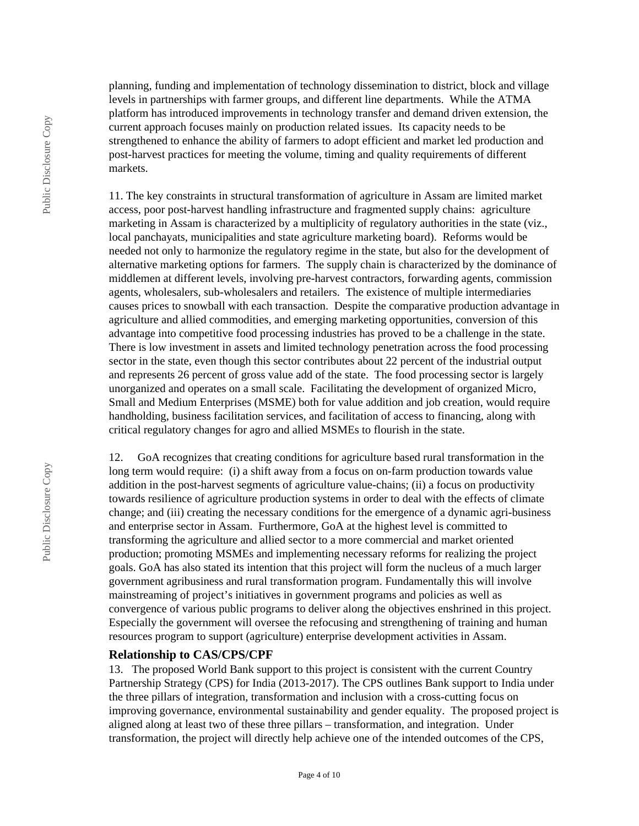planning, funding and implementation of technology dissemination to district, block and village levels in partnerships with farmer groups, and different line departments. While the ATMA platform has introduced improvements in technology transfer and demand driven extension, the current approach focuses mainly on production related issues. Its capacity needs to be strengthened to enhance the ability of farmers to adopt efficient and market led production and post-harvest practices for meeting the volume, timing and quality requirements of different markets.

11. The key constraints in structural transformation of agriculture in Assam are limited market access, poor post-harvest handling infrastructure and fragmented supply chains: agriculture marketing in Assam is characterized by a multiplicity of regulatory authorities in the state (viz., local panchayats, municipalities and state agriculture marketing board). Reforms would be needed not only to harmonize the regulatory regime in the state, but also for the development of alternative marketing options for farmers. The supply chain is characterized by the dominance of middlemen at different levels, involving pre-harvest contractors, forwarding agents, commission agents, wholesalers, sub-wholesalers and retailers. The existence of multiple intermediaries causes prices to snowball with each transaction. Despite the comparative production advantage in agriculture and allied commodities, and emerging marketing opportunities, conversion of this advantage into competitive food processing industries has proved to be a challenge in the state. There is low investment in assets and limited technology penetration across the food processing sector in the state, even though this sector contributes about 22 percent of the industrial output and represents 26 percent of gross value add of the state. The food processing sector is largely unorganized and operates on a small scale. Facilitating the development of organized Micro, Small and Medium Enterprises (MSME) both for value addition and job creation, would require handholding, business facilitation services, and facilitation of access to financing, along with critical regulatory changes for agro and allied MSMEs to flourish in the state.

12. GoA recognizes that creating conditions for agriculture based rural transformation in the long term would require: (i) a shift away from a focus on on-farm production towards value addition in the post-harvest segments of agriculture value-chains; (ii) a focus on productivity towards resilience of agriculture production systems in order to deal with the effects of climate change; and (iii) creating the necessary conditions for the emergence of a dynamic agri-business and enterprise sector in Assam. Furthermore, GoA at the highest level is committed to transforming the agriculture and allied sector to a more commercial and market oriented production; promoting MSMEs and implementing necessary reforms for realizing the project goals. GoA has also stated its intention that this project will form the nucleus of a much larger government agribusiness and rural transformation program. Fundamentally this will involve mainstreaming of project's initiatives in government programs and policies as well as convergence of various public programs to deliver along the objectives enshrined in this project. Especially the government will oversee the refocusing and strengthening of training and human resources program to support (agriculture) enterprise development activities in Assam.

## **Relationship to CAS/CPS/CPF**

13. The proposed World Bank support to this project is consistent with the current Country Partnership Strategy (CPS) for India (2013-2017). The CPS outlines Bank support to India under the three pillars of integration, transformation and inclusion with a cross-cutting focus on improving governance, environmental sustainability and gender equality. The proposed project is aligned along at least two of these three pillars – transformation, and integration. Under transformation, the project will directly help achieve one of the intended outcomes of the CPS,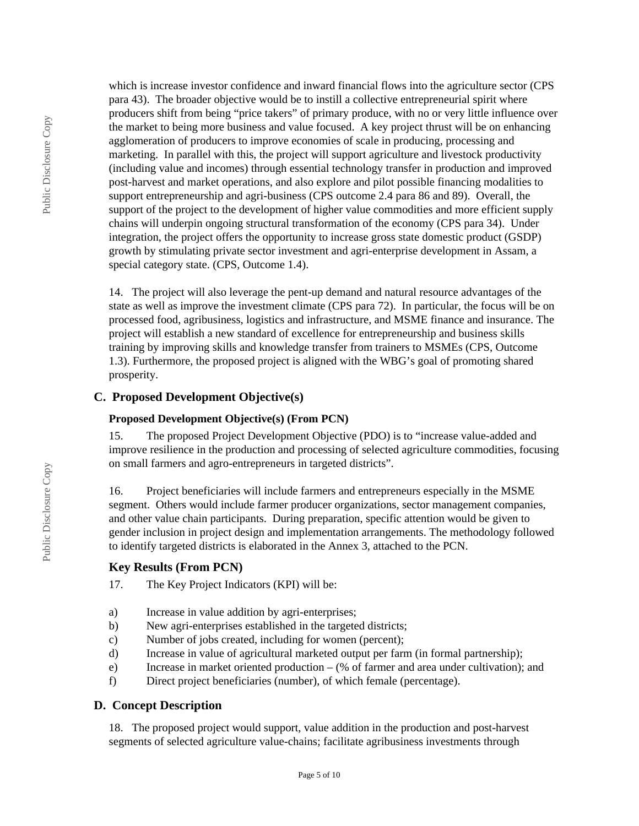which is increase investor confidence and inward financial flows into the agriculture sector (CPS para 43). The broader objective would be to instill a collective entrepreneurial spirit where producers shift from being "price takers" of primary produce, with no or very little influence over the market to being more business and value focused. A key project thrust will be on enhancing agglomeration of producers to improve economies of scale in producing, processing and marketing. In parallel with this, the project will support agriculture and livestock productivity (including value and incomes) through essential technology transfer in production and improved post-harvest and market operations, and also explore and pilot possible financing modalities to support entrepreneurship and agri-business (CPS outcome 2.4 para 86 and 89). Overall, the support of the project to the development of higher value commodities and more efficient supply chains will underpin ongoing structural transformation of the economy (CPS para 34). Under integration, the project offers the opportunity to increase gross state domestic product (GSDP) growth by stimulating private sector investment and agri-enterprise development in Assam, a special category state. (CPS, Outcome 1.4).

14. The project will also leverage the pent-up demand and natural resource advantages of the state as well as improve the investment climate (CPS para 72). In particular, the focus will be on processed food, agribusiness, logistics and infrastructure, and MSME finance and insurance. The project will establish a new standard of excellence for entrepreneurship and business skills training by improving skills and knowledge transfer from trainers to MSMEs (CPS, Outcome 1.3). Furthermore, the proposed project is aligned with the WBG's goal of promoting shared prosperity.

## **C. Proposed Development Objective(s)**

#### **Proposed Development Objective(s) (From PCN)**

15. The proposed Project Development Objective (PDO) is to "increase value-added and improve resilience in the production and processing of selected agriculture commodities, focusing on small farmers and agro-entrepreneurs in targeted districts".

16. Project beneficiaries will include farmers and entrepreneurs especially in the MSME segment. Others would include farmer producer organizations, sector management companies, and other value chain participants. During preparation, specific attention would be given to gender inclusion in project design and implementation arrangements. The methodology followed to identify targeted districts is elaborated in the Annex 3, attached to the PCN.

#### **Key Results (From PCN)**

- 17. The Key Project Indicators (KPI) will be:
- a) Increase in value addition by agri-enterprises;
- b) New agri-enterprises established in the targeted districts;
- c) Number of jobs created, including for women (percent);
- d) Increase in value of agricultural marketed output per farm (in formal partnership);
- e) Increase in market oriented production (% of farmer and area under cultivation); and
- f) Direct project beneficiaries (number), of which female (percentage).

#### **D. Concept Description**

18. The proposed project would support, value addition in the production and post-harvest segments of selected agriculture value-chains; facilitate agribusiness investments through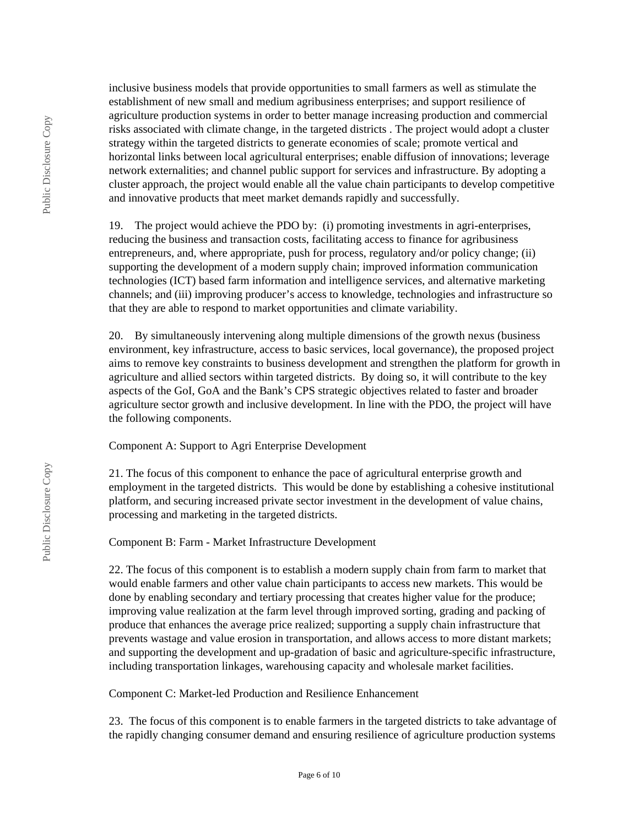inclusive business models that provide opportunities to small farmers as well as stimulate the establishment of new small and medium agribusiness enterprises; and support resilience of agriculture production systems in order to better manage increasing production and commercial risks associated with climate change, in the targeted districts . The project would adopt a cluster strategy within the targeted districts to generate economies of scale; promote vertical and horizontal links between local agricultural enterprises; enable diffusion of innovations; leverage network externalities; and channel public support for services and infrastructure. By adopting a cluster approach, the project would enable all the value chain participants to develop competitive and innovative products that meet market demands rapidly and successfully.

19. The project would achieve the PDO by: (i) promoting investments in agri-enterprises, reducing the business and transaction costs, facilitating access to finance for agribusiness entrepreneurs, and, where appropriate, push for process, regulatory and/or policy change; (ii) supporting the development of a modern supply chain; improved information communication technologies (ICT) based farm information and intelligence services, and alternative marketing channels; and (iii) improving producer's access to knowledge, technologies and infrastructure so that they are able to respond to market opportunities and climate variability.

20. By simultaneously intervening along multiple dimensions of the growth nexus (business environment, key infrastructure, access to basic services, local governance), the proposed project aims to remove key constraints to business development and strengthen the platform for growth in agriculture and allied sectors within targeted districts. By doing so, it will contribute to the key aspects of the GoI, GoA and the Bank's CPS strategic objectives related to faster and broader agriculture sector growth and inclusive development. In line with the PDO, the project will have the following components.

Component A: Support to Agri Enterprise Development

21. The focus of this component to enhance the pace of agricultural enterprise growth and employment in the targeted districts. This would be done by establishing a cohesive institutional platform, and securing increased private sector investment in the development of value chains, processing and marketing in the targeted districts.

Component B: Farm - Market Infrastructure Development

22. The focus of this component is to establish a modern supply chain from farm to market that would enable farmers and other value chain participants to access new markets. This would be done by enabling secondary and tertiary processing that creates higher value for the produce; improving value realization at the farm level through improved sorting, grading and packing of produce that enhances the average price realized; supporting a supply chain infrastructure that prevents wastage and value erosion in transportation, and allows access to more distant markets; and supporting the development and up-gradation of basic and agriculture-specific infrastructure, including transportation linkages, warehousing capacity and wholesale market facilities.

Component C: Market-led Production and Resilience Enhancement

23. The focus of this component is to enable farmers in the targeted districts to take advantage of the rapidly changing consumer demand and ensuring resilience of agriculture production systems

Public Disclosure Copy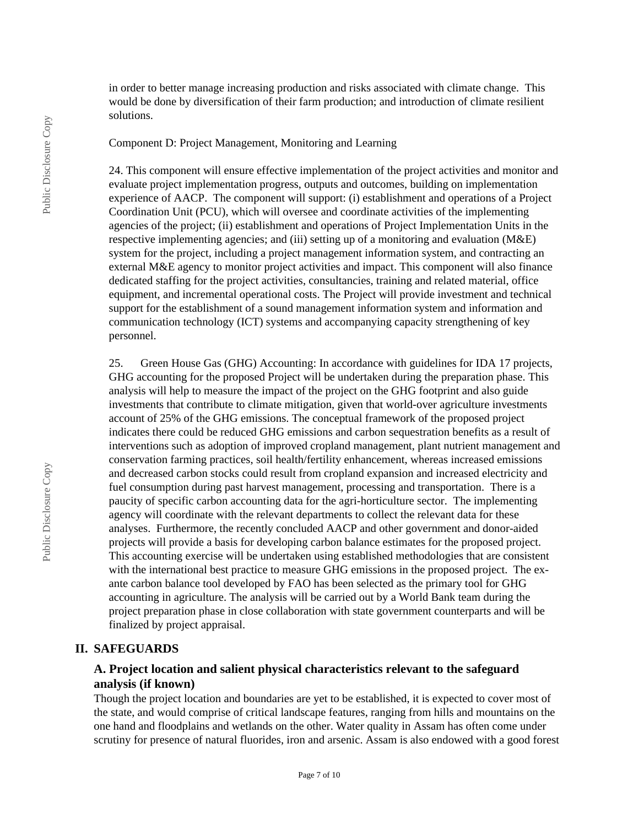in order to better manage increasing production and risks associated with climate change. This would be done by diversification of their farm production; and introduction of climate resilient solutions.

Component D: Project Management, Monitoring and Learning

24. This component will ensure effective implementation of the project activities and monitor and evaluate project implementation progress, outputs and outcomes, building on implementation experience of AACP. The component will support: (i) establishment and operations of a Project Coordination Unit (PCU), which will oversee and coordinate activities of the implementing agencies of the project; (ii) establishment and operations of Project Implementation Units in the respective implementing agencies; and (iii) setting up of a monitoring and evaluation (M&E) system for the project, including a project management information system, and contracting an external M&E agency to monitor project activities and impact. This component will also finance dedicated staffing for the project activities, consultancies, training and related material, office equipment, and incremental operational costs. The Project will provide investment and technical support for the establishment of a sound management information system and information and communication technology (ICT) systems and accompanying capacity strengthening of key personnel.

25. Green House Gas (GHG) Accounting: In accordance with guidelines for IDA 17 projects, GHG accounting for the proposed Project will be undertaken during the preparation phase. This analysis will help to measure the impact of the project on the GHG footprint and also guide investments that contribute to climate mitigation, given that world-over agriculture investments account of 25% of the GHG emissions. The conceptual framework of the proposed project indicates there could be reduced GHG emissions and carbon sequestration benefits as a result of interventions such as adoption of improved cropland management, plant nutrient management and conservation farming practices, soil health/fertility enhancement, whereas increased emissions and decreased carbon stocks could result from cropland expansion and increased electricity and fuel consumption during past harvest management, processing and transportation. There is a paucity of specific carbon accounting data for the agri-horticulture sector. The implementing agency will coordinate with the relevant departments to collect the relevant data for these analyses. Furthermore, the recently concluded AACP and other government and donor-aided projects will provide a basis for developing carbon balance estimates for the proposed project. This accounting exercise will be undertaken using established methodologies that are consistent with the international best practice to measure GHG emissions in the proposed project. The exante carbon balance tool developed by FAO has been selected as the primary tool for GHG accounting in agriculture. The analysis will be carried out by a World Bank team during the project preparation phase in close collaboration with state government counterparts and will be finalized by project appraisal.

### **II. SAFEGUARDS**

## **A. Project location and salient physical characteristics relevant to the safeguard analysis (if known)**

Though the project location and boundaries are yet to be established, it is expected to cover most of the state, and would comprise of critical landscape features, ranging from hills and mountains on the one hand and floodplains and wetlands on the other. Water quality in Assam has often come under scrutiny for presence of natural fluorides, iron and arsenic. Assam is also endowed with a good forest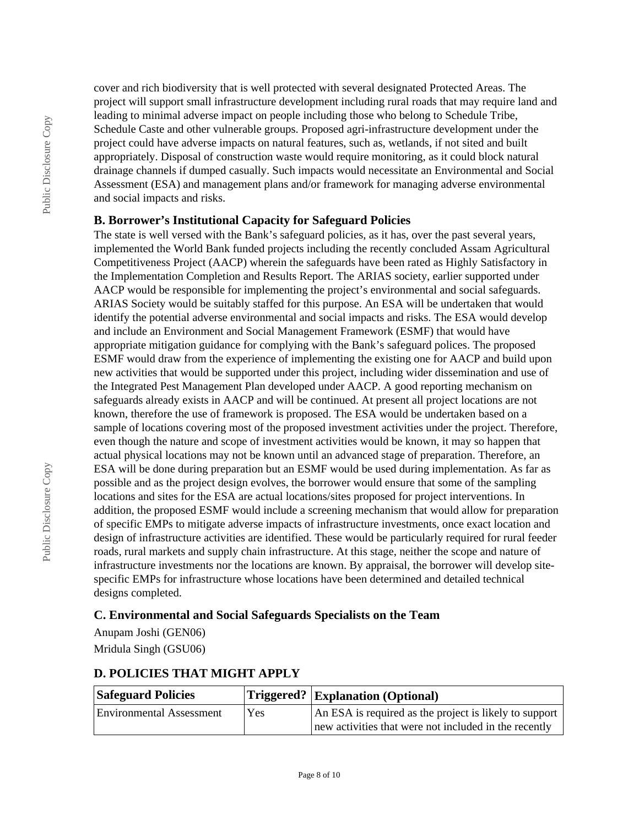cover and rich biodiversity that is well protected with several designated Protected Areas. The project will support small infrastructure development including rural roads that may require land and leading to minimal adverse impact on people including those who belong to Schedule Tribe, Schedule Caste and other vulnerable groups. Proposed agri-infrastructure development under the project could have adverse impacts on natural features, such as, wetlands, if not sited and built appropriately. Disposal of construction waste would require monitoring, as it could block natural drainage channels if dumped casually. Such impacts would necessitate an Environmental and Social Assessment (ESA) and management plans and/or framework for managing adverse environmental and social impacts and risks.

## **B. Borrower's Institutional Capacity for Safeguard Policies**

The state is well versed with the Bank's safeguard policies, as it has, over the past several years, implemented the World Bank funded projects including the recently concluded Assam Agricultural Competitiveness Project (AACP) wherein the safeguards have been rated as Highly Satisfactory in the Implementation Completion and Results Report. The ARIAS society, earlier supported under AACP would be responsible for implementing the project's environmental and social safeguards. ARIAS Society would be suitably staffed for this purpose. An ESA will be undertaken that would identify the potential adverse environmental and social impacts and risks. The ESA would develop and include an Environment and Social Management Framework (ESMF) that would have appropriate mitigation guidance for complying with the Bank's safeguard polices. The proposed ESMF would draw from the experience of implementing the existing one for AACP and build upon new activities that would be supported under this project, including wider dissemination and use of the Integrated Pest Management Plan developed under AACP. A good reporting mechanism on safeguards already exists in AACP and will be continued. At present all project locations are not known, therefore the use of framework is proposed. The ESA would be undertaken based on a sample of locations covering most of the proposed investment activities under the project. Therefore, even though the nature and scope of investment activities would be known, it may so happen that actual physical locations may not be known until an advanced stage of preparation. Therefore, an ESA will be done during preparation but an ESMF would be used during implementation. As far as possible and as the project design evolves, the borrower would ensure that some of the sampling locations and sites for the ESA are actual locations/sites proposed for project interventions. In addition, the proposed ESMF would include a screening mechanism that would allow for preparation of specific EMPs to mitigate adverse impacts of infrastructure investments, once exact location and design of infrastructure activities are identified. These would be particularly required for rural feeder roads, rural markets and supply chain infrastructure. At this stage, neither the scope and nature of infrastructure investments nor the locations are known. By appraisal, the borrower will develop sitespecific EMPs for infrastructure whose locations have been determined and detailed technical designs completed.

# **C. Environmental and Social Safeguards Specialists on the Team**

Anupam Joshi (GEN06)

Mridula Singh (GSU06)

# **D. POLICIES THAT MIGHT APPLY**

| <b>Safeguard Policies</b>       |      | $ T$ riggered? $ Explanation (Optional)$               |  |
|---------------------------------|------|--------------------------------------------------------|--|
| <b>Environmental Assessment</b> | Yes. | An ESA is required as the project is likely to support |  |
|                                 |      | new activities that were not included in the recently  |  |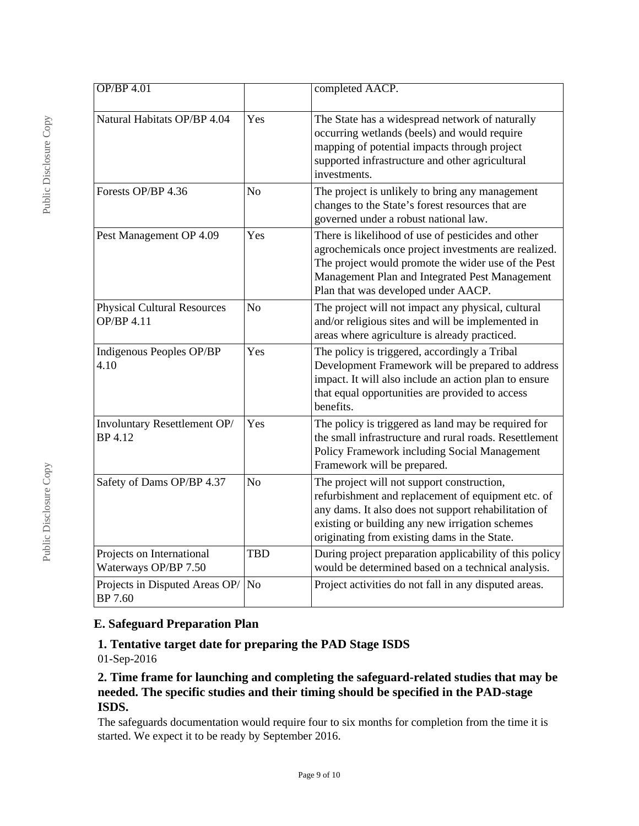| $OP/BP$ 4.01                                                                  |                                                                                                                                                                                                                                    | completed AACP.                                                                                                                                                                                                                                             |  |
|-------------------------------------------------------------------------------|------------------------------------------------------------------------------------------------------------------------------------------------------------------------------------------------------------------------------------|-------------------------------------------------------------------------------------------------------------------------------------------------------------------------------------------------------------------------------------------------------------|--|
| Natural Habitats OP/BP 4.04                                                   | Yes                                                                                                                                                                                                                                | The State has a widespread network of naturally<br>occurring wetlands (beels) and would require<br>mapping of potential impacts through project<br>supported infrastructure and other agricultural<br>investments.                                          |  |
| Forests OP/BP 4.36<br>N <sub>0</sub><br>governed under a robust national law. |                                                                                                                                                                                                                                    | The project is unlikely to bring any management<br>changes to the State's forest resources that are                                                                                                                                                         |  |
| Pest Management OP 4.09<br>Yes<br>Plan that was developed under AACP.         |                                                                                                                                                                                                                                    | There is likelihood of use of pesticides and other<br>agrochemicals once project investments are realized.<br>The project would promote the wider use of the Pest<br>Management Plan and Integrated Pest Management                                         |  |
| <b>Physical Cultural Resources</b><br><b>OP/BP 4.11</b>                       | N <sub>o</sub>                                                                                                                                                                                                                     | The project will not impact any physical, cultural<br>and/or religious sites and will be implemented in<br>areas where agriculture is already practiced.                                                                                                    |  |
| Indigenous Peoples OP/BP<br>4.10                                              | The policy is triggered, accordingly a Tribal<br>Yes<br>Development Framework will be prepared to address<br>impact. It will also include an action plan to ensure<br>that equal opportunities are provided to access<br>benefits. |                                                                                                                                                                                                                                                             |  |
| Involuntary Resettlement OP/<br><b>BP</b> 4.12                                | Yes                                                                                                                                                                                                                                | The policy is triggered as land may be required for<br>the small infrastructure and rural roads. Resettlement<br>Policy Framework including Social Management<br>Framework will be prepared.                                                                |  |
| Safety of Dams OP/BP 4.37                                                     | N <sub>o</sub>                                                                                                                                                                                                                     | The project will not support construction,<br>refurbishment and replacement of equipment etc. of<br>any dams. It also does not support rehabilitation of<br>existing or building any new irrigation schemes<br>originating from existing dams in the State. |  |
| Projects on International<br>Waterways OP/BP 7.50                             | <b>TBD</b>                                                                                                                                                                                                                         | During project preparation applicability of this policy<br>would be determined based on a technical analysis.                                                                                                                                               |  |
| Projects in Disputed Areas OP/<br>BP 7.60                                     | N <sub>o</sub>                                                                                                                                                                                                                     | Project activities do not fall in any disputed areas.                                                                                                                                                                                                       |  |

# **E. Safeguard Preparation Plan**

# **1. Tentative target date for preparing the PAD Stage ISDS**

01-Sep-2016

# **2. Time frame for launching and completing the safeguard-related studies that may be needed. The specific studies and their timing should be specified in the PAD-stage ISDS.**

The safeguards documentation would require four to six months for completion from the time it is started. We expect it to be ready by September 2016.